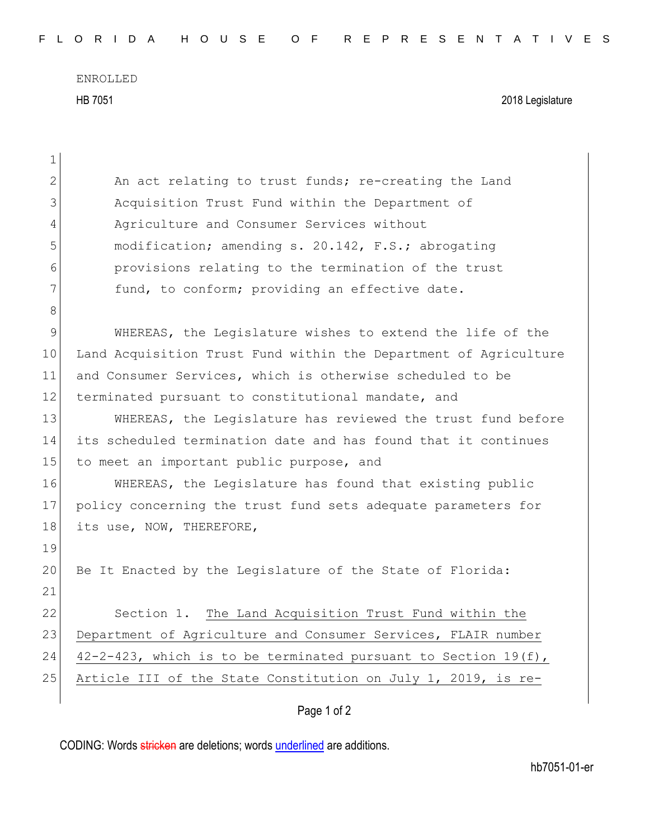ENROLLED HB 7051 2018 Legislature

| $\mathbf 1$    |                                                                   |
|----------------|-------------------------------------------------------------------|
| $\overline{2}$ | An act relating to trust funds; re-creating the Land              |
| 3              | Acquisition Trust Fund within the Department of                   |
| $\overline{4}$ | Agriculture and Consumer Services without                         |
| 5              | modification; amending s. 20.142, F.S.; abrogating                |
| 6              | provisions relating to the termination of the trust               |
| 7              | fund, to conform; providing an effective date.                    |
| $8\,$          |                                                                   |
| $\mathsf 9$    | WHEREAS, the Legislature wishes to extend the life of the         |
| 10             | Land Acquisition Trust Fund within the Department of Agriculture  |
| 11             | and Consumer Services, which is otherwise scheduled to be         |
| 12             | terminated pursuant to constitutional mandate, and                |
| 13             | WHEREAS, the Legislature has reviewed the trust fund before       |
| 14             | its scheduled termination date and has found that it continues    |
| 15             | to meet an important public purpose, and                          |
| 16             | WHEREAS, the Legislature has found that existing public           |
| 17             | policy concerning the trust fund sets adequate parameters for     |
| 18             | its use, NOW, THEREFORE,                                          |
| 19             |                                                                   |
| 20             | Be It Enacted by the Legislature of the State of Florida:         |
| 21             |                                                                   |
| 22             | Section 1. The Land Acquisition Trust Fund within the             |
| 23             | Department of Agriculture and Consumer Services, FLAIR number     |
| 24             | $42-2-423$ , which is to be terminated pursuant to Section 19(f), |
| 25             | Article III of the State Constitution on July 1, 2019, is re-     |
|                |                                                                   |

## Page 1 of 2

CODING: Words stricken are deletions; words underlined are additions.